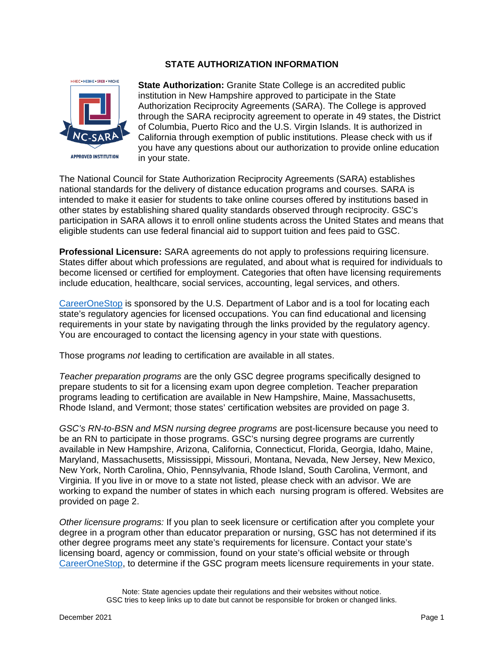# **STATE AUTHORIZATION INFORMATION**



**State Authorization:** Granite State College is an accredited public institution in New Hampshire approved to participate in the State Authorization Reciprocity Agreements (SARA). The College is approved through the SARA reciprocity agreement to operate in 49 states, the District of Columbia, Puerto Rico and the U.S. Virgin Islands. It is authorized in California through exemption of public institutions. Please check with us if you have any questions about our authorization to provide online education in your state.

The National Council for State Authorization Reciprocity Agreements (SARA) establishes national standards for the delivery of distance education programs and courses. SARA is intended to make it easier for students to take online courses offered by institutions based in other states by establishing shared quality standards observed through reciprocity. GSC's participation in SARA allows it to enroll online students across the United States and means that eligible students can use federal financial aid to support tuition and fees paid to GSC.

**Professional Licensure:** SARA agreements do not apply to professions requiring licensure. States differ about which professions are regulated, and about what is required for individuals to become licensed or certified for employment. Categories that often have licensing requirements include education, healthcare, social services, accounting, legal services, and others.

[CareerOneStop](https://www.careeronestop.org/toolkit/training/find-licenses.aspx) is sponsored by the U.S. Department of Labor and is a tool for locating each state's regulatory agencies for licensed occupations. You can find educational and licensing requirements in your state by navigating through the links provided by the regulatory agency. You are encouraged to contact the licensing agency in your state with questions.

Those programs *not* leading to certification are available in all states.

*Teacher preparation programs* are the only GSC degree programs specifically designed to prepare students to sit for a licensing exam upon degree completion. Teacher preparation programs leading to certification are available in New Hampshire, Maine, Massachusetts, Rhode Island, and Vermont; those states' certification websites are provided on page 3.

*GSC's RN-to-BSN and MSN nursing degree programs* are post-licensure because you need to be an RN to participate in those programs. GSC's nursing degree programs are currently available in New Hampshire, Arizona, California, Connecticut, Florida, Georgia, Idaho, Maine, Maryland, Massachusetts, Mississippi, Missouri, Montana, Nevada, New Jersey, New Mexico, New York, North Carolina, Ohio, Pennsylvania, Rhode Island, South Carolina, Vermont, and Virginia. If you live in or move to a state not listed, please check with an advisor. We are working to expand the number of states in which each nursing program is offered. Websites are provided on page 2.

*Other licensure programs:* If you plan to seek licensure or certification after you complete your degree in a program other than educator preparation or nursing, GSC has not determined if its other degree programs meet any state's requirements for licensure. Contact your state's licensing board, agency or commission, found on your state's official website or through [CareerOneStop,](https://www.careeronestop.org/toolkit/training/find-licenses.aspx) to determine if the GSC program meets licensure requirements in your state.

Note: State agencies update their regulations and their websites without notice. GSC tries to keep links up to date but cannot be responsible for broken or changed links.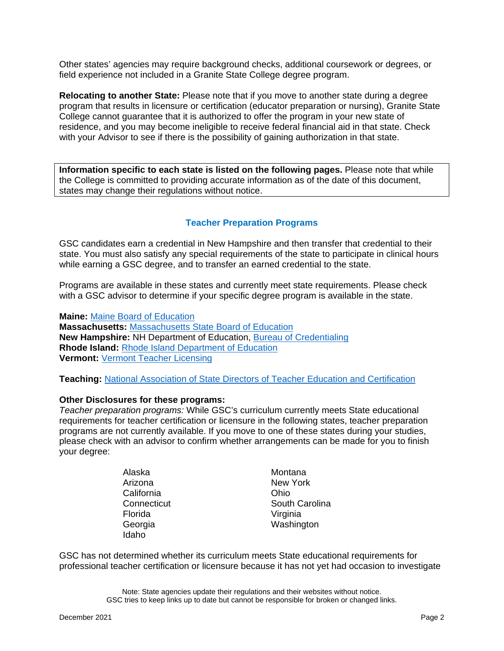Other states' agencies may require background checks, additional coursework or degrees, or field experience not included in a Granite State College degree program.

**Relocating to another State:** Please note that if you move to another state during a degree program that results in licensure or certification (educator preparation or nursing), Granite State College cannot guarantee that it is authorized to offer the program in your new state of residence, and you may become ineligible to receive federal financial aid in that state. Check with your Advisor to see if there is the possibility of gaining authorization in that state.

**Information specific to each state is listed on the following pages.** Please note that while the College is committed to providing accurate information as of the date of this document, states may change their regulations without notice.

# **Teacher Preparation Programs**

GSC candidates earn a credential in New Hampshire and then transfer that credential to their state. You must also satisfy any special requirements of the state to participate in clinical hours while earning a GSC degree, and to transfer an earned credential to the state.

Programs are available in these states and currently meet state requirements. Please check with a GSC advisor to determine if your specific degree program is available in the state.

**Maine:** [Maine Board of Education](http://www.maine.gov/sbe/)

**Massachusetts:** [Massachusetts State Board of Education](http://www.doe.mass.edu/licensure/) **New Hampshire:** NH Department of Education, [Bureau of Credentialing](http://education.nh.gov/certification/index.htm) **Rhode Island:** [Rhode Island Department of Education](http://www.ride.ri.gov/TeachersAdministrators/EducatorCertification.aspx) **Vermont:** [Vermont Teacher Licensing](https://education.vermont.gov/educator-licensure)

**Teaching:** [National Association of State Directors of Teacher Education and Certification](http://www.nasdtec.net/?InterstateAgreements)

### **Other Disclosures for these programs:**

*Teacher preparation programs:* While GSC's curriculum currently meets State educational requirements for teacher certification or licensure in the following states, teacher preparation programs are not currently available. If you move to one of these states during your studies, please check with an advisor to confirm whether arrangements can be made for you to finish your degree:

| Alaska      | Mont  |
|-------------|-------|
| Arizona     | New   |
| California  | Ohio  |
| Connecticut | Sout  |
| Florida     | Virgi |
| Georgia     | Was   |
| Idaho       |       |
|             |       |

Montana New York South Carolina Virginia Washington

GSC has not determined whether its curriculum meets State educational requirements for professional teacher certification or licensure because it has not yet had occasion to investigate

> Note: State agencies update their regulations and their websites without notice. GSC tries to keep links up to date but cannot be responsible for broken or changed links.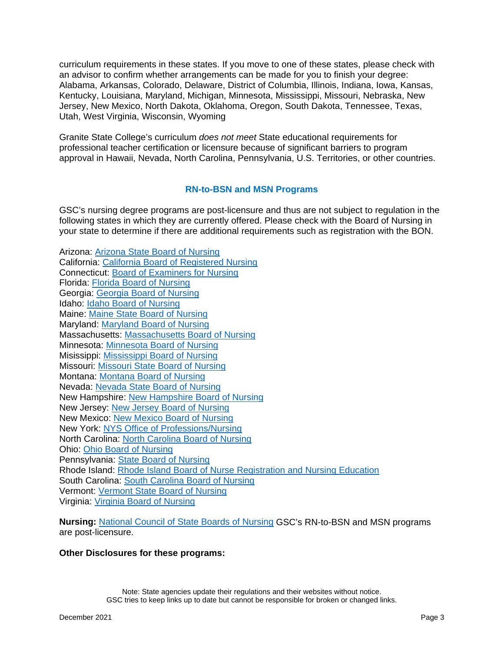curriculum requirements in these states. If you move to one of these states, please check with an advisor to confirm whether arrangements can be made for you to finish your degree: Alabama, Arkansas, Colorado, Delaware, District of Columbia, Illinois, Indiana, Iowa, Kansas, Kentucky, Louisiana, Maryland, Michigan, Minnesota, Mississippi, Missouri, Nebraska, New Jersey, New Mexico, North Dakota, Oklahoma, Oregon, South Dakota, Tennessee, Texas, Utah, West Virginia, Wisconsin, Wyoming

Granite State College's curriculum *does not meet* State educational requirements for professional teacher certification or licensure because of significant barriers to program approval in Hawaii, Nevada, North Carolina, Pennsylvania, U.S. Territories, or other countries.

## **RN-to-BSN and MSN Programs**

GSC's nursing degree programs are post-licensure and thus are not subject to regulation in the following states in which they are currently offered. Please check with the Board of Nursing in your state to determine if there are additional requirements such as registration with the BON.

Arizona: [Arizona State Board of Nursing](http://www.azbn.gov/)  California: [California Board of Registered Nursing](http://www.rn.ca.gov/education/index.shtml) Connecticut: [Board of Examiners for Nursing](http://www.ct.gov/dph/cwp/view.asp?a=3143&q=388910) Florida: [Florida Board of Nursing](http://floridasnursing.gov/) Georgia: [Georgia Board of Nursing](http://sos.ga.gov/index.php/licensing/plb/45) Idaho: [Idaho Board of Nursing](https://ibn.idaho.gov/IBNPortal/) Maine: [Maine State Board of Nursing](http://www.maine.gov/boardofnursing/) Maryland: [Maryland Board of Nursing](https://mbon.maryland.gov/Pages/default.aspx) Massachusetts: [Massachusetts Board of Nursing](http://www.mass.gov/eohhs/gov/departments/dph/programs/hcq/dhpl/nursing/) Minnesota: [Minnesota Board of Nursing](https://mn.gov/boards/nursing/) Misissippi: [Mississippi Board of Nursing](https://www.msbn.ms.gov/) Missouri: [Missouri State Board of Nursing](http://www.pr.mo.gov/nursing.asp) Montana: [Montana Board of Nursing](http://www.nurse.mt.gov/) Nevada: [Nevada State Board of Nursing](https://nevadanursingboard.org/) New Hampshire: [New Hampshire Board of Nursing](https://www.oplc.nh.gov/nursing/) New Jersey: [New Jersey Board of Nursing](https://www.njconsumeraffairs.gov/nur/Pages/applications.aspx) New Mexico: [New Mexico Board of Nursing](http://nmbon.sks.com/) New York: [NYS Office of Professions/Nursing](http://www.op.nysed.gov/prof/nurse/) North Carolina: [North Carolina Board of Nursing](http://www.ncbon.com/) Ohio: [Ohio Board of Nursing](http://www.nursing.ohio.gov/) Pennsylvania: [State Board of Nursing](http://www.dos.pa.gov/ProfessionalLicensing/BoardsCommissions/Nursing/Pages/default.aspx) Rhode Island: [Rhode Island Board of Nurse Registration and Nursing Education](http://www.health.ri.gov/licenses/detail.php?id=231) South Carolina: [South Carolina Board of Nursing](https://llr.sc.gov/nurse/) Vermont: [Vermont State Board of Nursing](https://www.sec.state.vt.us/professional-regulation/list-of-professions/nursing.aspx) Virginia: [Virginia Board of Nursing](http://www.dhp.virginia.gov/Boards/Nursing/)

**Nursing:** [National Council of State Boards of Nursing](https://www.ncsbn.org/contact-bon.htm) GSC's RN-to-BSN and MSN programs are post-licensure.

### **Other Disclosures for these programs:**

Note: State agencies update their regulations and their websites without notice. GSC tries to keep links up to date but cannot be responsible for broken or changed links.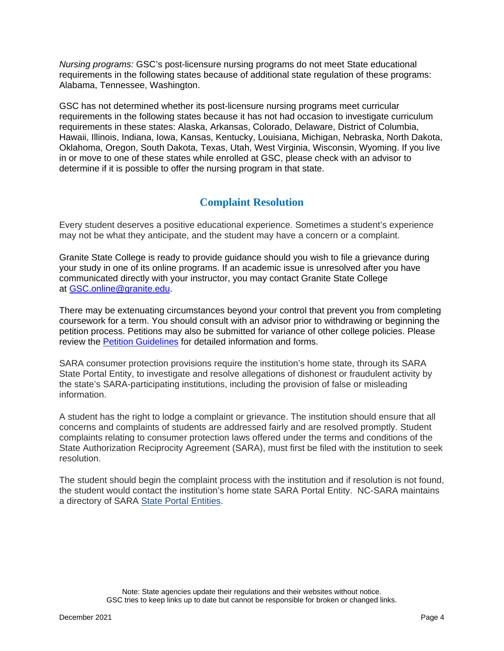*Nursing programs:* GSC's post-licensure nursing programs do not meet State educational requirements in the following states because of additional state regulation of these programs: Alabama, Tennessee, Washington.

GSC has not determined whether its post-licensure nursing programs meet curricular requirements in the following states because it has not had occasion to investigate curriculum requirements in these states: Alaska, Arkansas, Colorado, Delaware, District of Columbia, Hawaii, Illinois, Indiana, Iowa, Kansas, Kentucky, Louisiana, Michigan, Nebraska, North Dakota, Oklahoma, Oregon, South Dakota, Texas, Utah, West Virginia, Wisconsin, Wyoming. If you live in or move to one of these states while enrolled at GSC, please check with an advisor to determine if it is possible to offer the nursing program in that state.

# **Complaint Resolution**

Every student deserves a positive educational experience. Sometimes a student's experience may not be what they anticipate, and the student may have a concern or a complaint.

Granite State College is ready to provide guidance should you wish to file a grievance during your study in one of its online programs. If an academic issue is unresolved after you have communicated directly with your instructor, you may contact Granite State College at [GSC.online@granite.edu.](mailto:GSC.online@granite.edu)

There may be extenuating circumstances beyond your control that prevent you from completing coursework for a term. You should consult with an advisor prior to withdrawing or beginning the petition process. Petitions may also be submitted for variance of other college policies. Please review the [Petition Guidelines](https://www.granite.edu/current-students/academics/academic-resources/petition-guidelines-forms/) for detailed information and forms.

SARA consumer protection provisions require the institution's home state, through its SARA State Portal Entity, to investigate and resolve allegations of dishonest or fraudulent activity by the state's SARA-participating institutions, including the provision of false or misleading information.

A student has the right to lodge a complaint or grievance. The institution should ensure that all concerns and complaints of students are addressed fairly and are resolved promptly. Student complaints relating to consumer protection laws offered under the terms and conditions of the State Authorization Reciprocity Agreement (SARA), must first be filed with the institution to seek resolution.

The student should begin the complaint process with the institution and if resolution is not found, the student would contact the institution's home state SARA Portal Entity. NC-SARA maintains a directory of SARA [State Portal Entities.](https://nc-sara.org/state-portal-entity-contacts)